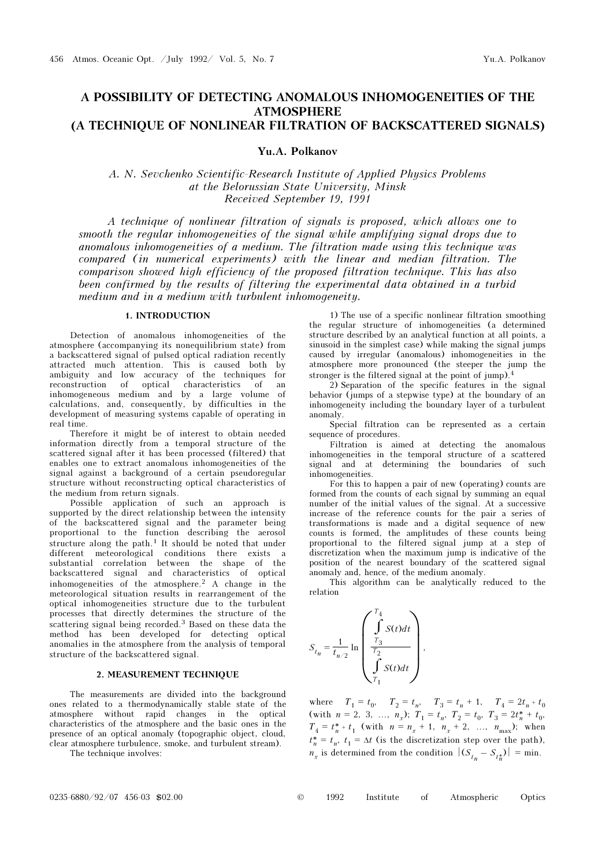# A POSSIBILITY OF DETECTING ANOMALOUS INHOMOGENEITIES OF THE ATMOSPHERE (A TECHNIQUE OF NONLINEAR FILTRATION OF BACKSCATTERED SIGNALS)

Yu.A. Polkanov

A. N. Sevchenko Scientific-Research Institute of Applied Physics Problems at the Belorussian State University, Minsk Received September 19, 1991

A technique of nonlinear filtration of signals is proposed, which allows one to smooth the regular inhomogeneities of the signal while amplifying signal drops due to anomalous inhomogeneities of a medium. The filtration made using this technique was compared (in numerical experiments) with the linear and median filtration. The comparison showed high efficiency of the proposed filtration technique. This has also been confirmed by the results of filtering the experimental data obtained in a turbid medium and in a medium with turbulent inhomogeneity.

# 1. INTRODUCTION

Detection of anomalous inhomogeneities of the atmosphere (accompanying its nonequilibrium state) from a backscattered signal of pulsed optical radiation recently attracted much attention. This is caused both by ambiguity and low accuracy of the techniques for reconstruction of optical characteristics of an inhomogeneous medium and by a large volume of calculations, and, consequently, by difficulties in the development of measuring systems capable of operating in real time.

Therefore it might be of interest to obtain needed information directly from a temporal structure of the scattered signal after it has been processed (filtered) that enables one to extract anomalous inhomogeneities of the signal against a background of a certain pseudoregular structure without reconstructing optical characteristics of the medium from return signals.

Possible application of such an approach is supported by the direct relationship between the intensity of the backscattered signal and the parameter being proportional to the function describing the aerosol structure along the path.<sup>1</sup> It should be noted that under different meteorological conditions there exists a substantial correlation between the shape of the backscattered signal and characteristics of optical inhomogeneities of the atmosphere.<sup>2</sup> A change in the meteorological situation results in rearrangement of the optical inhomogeneities structure due to the turbulent processes that directly determines the structure of the scattering signal being recorded.<sup>3</sup> Based on these data the method has been developed for detecting optical anomalies in the atmosphere from the analysis of temporal structure of the backscattered signal.

### 2. MEASUREMENT TECHNIQUE

The measurements are divided into the background ones related to a thermodynamically stable state of the atmosphere without rapid changes in the optical characteristics of the atmosphere and the basic ones in the presence of an optical anomaly (topographic object, cloud, clear atmosphere turbulence, smoke, and turbulent stream).

The technique involves:

1) The use of a specific nonlinear filtration smoothing the regular structure of inhomogeneities (a determined structure described by an analytical function at all points, a sinusoid in the simplest case) while making the signal jumps caused by irregular (anomalous) inhomogeneities in the atmosphere more pronounced (the steeper the jump the stronger is the filtered signal at the point of jump).<sup>4</sup>

2) Separation of the specific features in the signal behavior (jumps of a stepwise type) at the boundary of an inhomogeneity including the boundary layer of a turbulent anomaly.

Special filtration can be represented as a certain sequence of procedures.

Filtration is aimed at detecting the anomalous inhomogeneities in the temporal structure of a scattered signal and at determining the boundaries of such inhomogeneities.

For this to happen a pair of new (operating) counts are formed from the counts of each signal by summing an equal number of the initial values of the signal. At a successive increase of the reference counts for the pair a series of transformations is made and a digital sequence of new counts is formed, the amplitudes of these counts being proportional to the filtered signal jump at a step of discretization when the maximum jump is indicative of the position of the nearest boundary of the scattered signal anomaly and, hence, of the medium anomaly.

This algorithm can be analytically reduced to the relation

$$
S_{t_n} = \frac{1}{t_{n/2}} \ln \left( \frac{\int\limits_{T_3}^{T_4} S(t) dt}{\int\limits_{T_1}^{T_2} S(t) dt} \right),
$$

where  $T_1 = t_0$ ,  $T_2 = t_n$ ,  $T_3 = t_n + 1$ ,  $T_4 = 2t_n + t_0$ (with  $n = 2, 3, ..., n_x$ );  $T_1 = t_n$ ,  $T_2 = t_0$ ,  $T_3 = 2t_n^* + t_0$ ,  $T_4 = t_n^* + t_1$  (with  $n = n_x + 1$ ,  $n_x + 2$ , ...,  $n_{\text{max}}$ ); when  $t_n^* = t_n$ ,  $t_1 = \Delta t$  (is the discretization step over the path),  $n_x$  is determined from the condition  $|(S_{t_n} - S_{t_n^*})| = \min$ .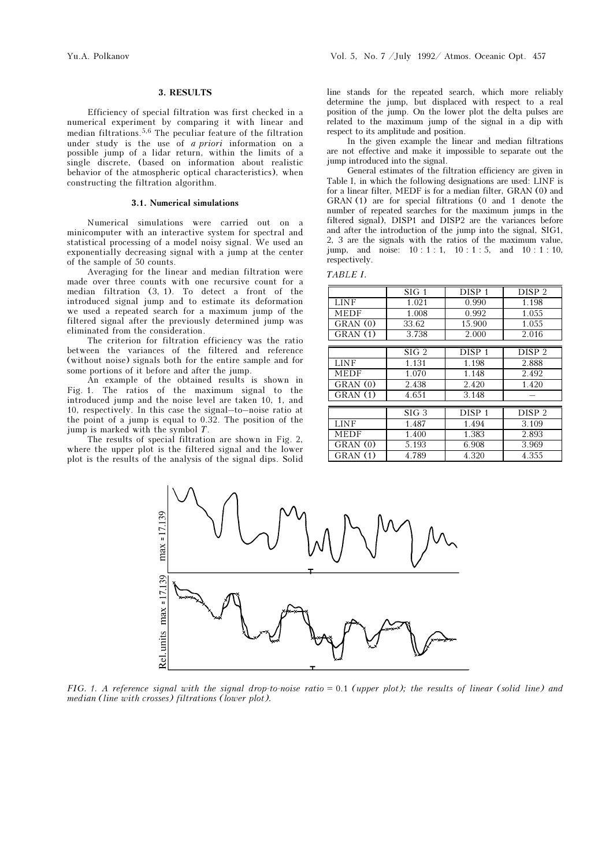#### 3. RESULTS

Efficiency of special filtration was first checked in a numerical experiment by comparing it with linear and median filtrations.5,6 The peculiar feature of the filtration under study is the use of *a priori* information on a possible jump of a lidar return, within the limits of a single discrete, (based on information about realistic behavior of the atmospheric optical characteristics), when constructing the filtration algorithm.

#### 3.1. Numerical simulations

Numerical simulations were carried out on a minicomputer with an interactive system for spectral and statistical processing of a model noisy signal. We used an exponentially decreasing signal with a jump at the center of the sample of 50 counts.

Averaging for the linear and median filtration were made over three counts with one recursive count for a median filtration (3, 1). To detect a front of the introduced signal jump and to estimate its deformation we used a repeated search for a maximum jump of the filtered signal after the previously determined jump was eliminated from the consideration.

The criterion for filtration efficiency was the ratio between the variances of the filtered and reference (without noise) signals both for the entire sample and for some portions of it before and after the jump.

An example of the obtained results is shown in Fig. 1. The ratios of the maximum signal to the introduced jump and the noise level are taken 10, 1, and 10, respectively. In this case the signal–to–noise ratio at the point of a jump is equal to 0.32. The position of the jump is marked with the symbol T.

The results of special filtration are shown in Fig. 2, where the upper plot is the filtered signal and the lower plot is the results of the analysis of the signal dips. Solid line stands for the repeated search, which more reliably determine the jump, but displaced with respect to a real position of the jump. On the lower plot the delta pulses are related to the maximum jump of the signal in a dip with respect to its amplitude and position.

In the given example the linear and median filtrations are not effective and make it impossible to separate out the jump introduced into the signal.

General estimates of the filtration efficiency are given in Table I, in which the following designations are used: LINF is for a linear filter, MEDF is for a median filter, GRAN (0) and GRAN (1) are for special filtrations (0 and 1 denote the number of repeated searches for the maximum jumps in the filtered signal), DISP1 and DISP2 are the variances before and after the introduction of the jump into the signal, SIG1, 2, 3 are the signals with the ratios of the maximum value, jump, and noise: 10 : 1 : 1, 10 : 1 : 5, and 10 : 1 : 10, respectively.

|  | `ABLE |  |
|--|-------|--|
|  |       |  |

|             | SIG 1    | DISP <sub>1</sub> | DISP <sub>2</sub> |
|-------------|----------|-------------------|-------------------|
| <b>LINF</b> | 1.021    | 0.990             | 1.198             |
| <b>MEDF</b> | 1.008    | 0.992             | 1.055             |
| GRAN(0)     | 33.62    | 15.900            | 1.055             |
| GRAN(1)     | 3.738    | 2.000             | 2.016             |
|             |          |                   |                   |
|             | $SIG\ 2$ | DISP <sub>1</sub> | DISP <sub>2</sub> |
| <b>LINF</b> | 1.131    | 1.198             | 2.888             |
| <b>MEDF</b> | 1.070    | 1.148             | 2.492             |
| GRAN(0)     | 2.438    | 2.420             | 1.420             |
| GRAN(1)     | 4.651    | 3.148             |                   |
|             |          |                   |                   |
|             | SIG 3    | DISP <sub>1</sub> | DISP <sub>2</sub> |
| <b>LINF</b> | 1.487    | 1.494             | 3.109             |
| <b>MEDF</b> | 1.400    | 1.383             | 2.893             |
| GRAN(0)     | 5.193    | 6.908             | 3.969             |
| GRAN(1)     | 4.789    | 4.320             | 4.355             |



FIG. 1. A reference signal with the signal drop-to-noise ratio  $= 0.1$  (upper plot); the results of linear (solid line) and median (line with crosses) filtrations (lower plot).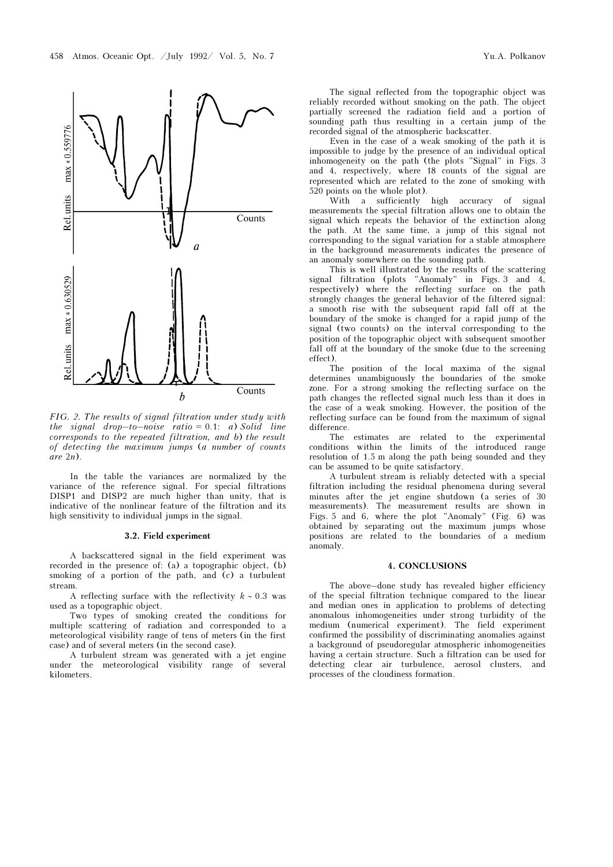

FIG. 2. The results of signal filtration under study with the signal drop–to–noise ratio =  $0.1$ : a) Solid line corresponds to the repeated filtration, and b) the result of detecting the maximum jumps (a number of counts are 2n).

In the table the variances are normalized by the variance of the reference signal. For special filtrations DISP1 and DISP2 are much higher than unity, that is indicative of the nonlinear feature of the filtration and its high sensitivity to individual jumps in the signal.

# 3.2. Field experiment

A backscattered signal in the field experiment was recorded in the presence of: (a) a topographic object, (b) smoking of a portion of the path, and  $(c)$  a turbulent stream.

A reflecting surface with the reflectivity  $k \sim 0.3$  was used as a topographic object.

Two types of smoking created the conditions for multiple scattering of radiation and corresponded to a meteorological visibility range of tens of meters (in the first case) and of several meters (in the second case).

A turbulent stream was generated with a jet engine under the meteorological visibility range of several kilometers.

The signal reflected from the topographic object was reliably recorded without smoking on the path. The object partially screened the radiation field and a portion of sounding path thus resulting in a certain jump of the recorded signal of the atmospheric backscatter.

Even in the case of a weak smoking of the path it is impossible to judge by the presence of an individual optical inhomogeneity on the path (the plots "Signal" in Figs. 3 and 4, respectively, where 18 counts of the signal are represented which are related to the zone of smoking with 520 points on the whole plot).

With a sufficiently high accuracy of signal measurements the special filtration allows one to obtain the signal which repeats the behavior of the extinction along the path. At the same time, a jump of this signal not corresponding to the signal variation for a stable atmosphere in the background measurements indicates the presence of an anomaly somewhere on the sounding path.

This is well illustrated by the results of the scattering signal filtration (plots "Anomaly" in Figs. 3 and 4, respectively) where the reflecting surface on the path strongly changes the general behavior of the filtered signal: a smooth rise with the subsequent rapid fall off at the boundary of the smoke is changed for a rapid jump of the signal (two counts) on the interval corresponding to the position of the topographic object with subsequent smoother fall off at the boundary of the smoke (due to the screening effect).

The position of the local maxima of the signal determines unambiguously the boundaries of the smoke zone. For a strong smoking the reflecting surface on the path changes the reflected signal much less than it does in the case of a weak smoking. However, the position of the reflecting surface can be found from the maximum of signal difference.

The estimates are related to the experimental conditions within the limits of the introduced range resolution of 1.5 m along the path being sounded and they can be assumed to be quite satisfactory.

A turbulent stream is reliably detected with a special filtration including the residual phenomena during several minutes after the jet engine shutdown (a series of 30 measurements). The measurement results are shown in Figs. 5 and 6, where the plot "Anomaly" (Fig. 6) was obtained by separating out the maximum jumps whose positions are related to the boundaries of a medium anomaly.

#### 4. CONCLUSIONS

The above–done study has revealed higher efficiency of the special filtration technique compared to the linear and median ones in application to problems of detecting anomalous inhomogeneities under strong turbidity of the medium (numerical experiment). The field experiment confirmed the possibility of discriminating anomalies against a background of pseudoregular atmospheric inhomogeneities having a certain structure. Such a filtration can be used for detecting clear air turbulence, aerosol clusters, and processes of the cloudiness formation.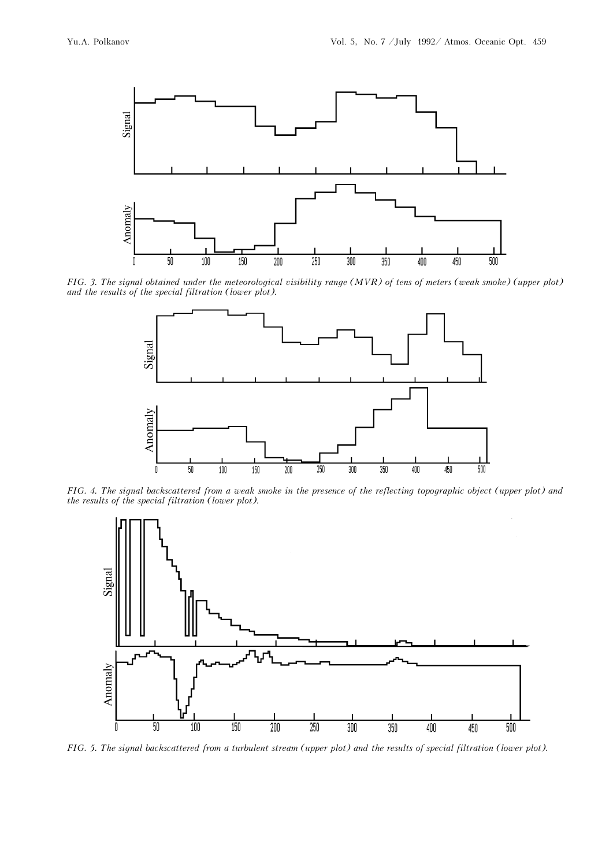

FIG. 3. The signal obtained under the meteorological visibility range (MVR) of tens of meters (weak smoke) (upper plot) and the results of the special filtration (lower plot).



FIG. 4. The signal backscattered from a weak smoke in the presence of the reflecting topographic object (upper plot) and the results of the special filtration (lower plot).



FIG. 5. The signal backscattered from a turbulent stream (upper plot) and the results of special filtration (lower plot).